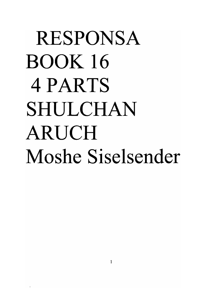## RESPONSA BOOK **16**  4 PARTS SHULCHAN ARUCH **Moshe Siselsender**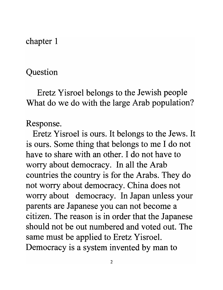chapter 1

## Question

Eretz Yisroel belongs to the Jewish people What do we do with the large Arab population?

## Response.

Eretz Yisroel is ours. It belongs to the Jews. It is ours. Some thing that belongs to me I do not have to share with an other. I do not have to worry about democracy. In all the Arab countries the country is for the Arabs. They do not worry about democracy. China does not worry about democracy. In Japan unless your parents are Japanese you can not become a citizen. The reason is in order that the Japanese should not be out numbered and voted out. The same must be applied to Eretz Yisroel. Democracy is a system invented by man to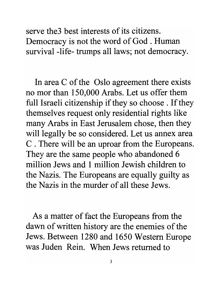serve the 3 best interests of its citizens. Democracy is not the word of God. Human survival -life- trumps all laws; not democracy.

In area C of the Oslo agreement there exists no mor than 150,000 Arabs. Let us offer them full Israeli citizenship if they so choose . If they themselves request only residential rights like many Arabs in East Jerusalem chose, then they will legally be so considered. Let us annex area C . There will be an uproar from the Europeans. They are the same people who abandoned 6 million Jews and 1 million Jewish children to the Nazis. The Europeans are equally guilty as the Nazis in the murder of all these Jews.

As a matter of fact the Europeans from the dawn of written history are the enemies of the Jews. Between 1280 and 1650 Western Europe was Juden Rein. When Jews returned to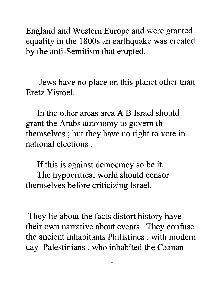England and Western Europe and were granted equality in the 1800s an earthquake was created by the anti-Semitism that erupted.

Jews have no place on this planet other than Eretz Yisroel.

In the other areas area A B Israel should grant the Arabs autonomy to govern th themselves ; but they have no right to vote in national elections .

If this is against democracy so be it. The hypocritical world should censor themselves before criticizing Israel.

They lie about the facts distort history have their own narrative about events . They confuse the ancient inhabitants Philistines , with modem day Palestinians, who inhabited the Caanan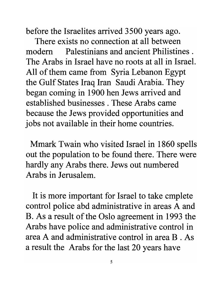before the Israelites arrived 3500 years ago.

There exists no connection at all between modem Palestinians and ancient Philistines . The Arabs in Israel have no roots at all in Israel. All of them came from Syria Lebanon Egypt the Gulf States Iraq Iran Saudi Arabia. They began coming in 1900 hen Jews arrived and established businesses. These Arabs came because the Jews provided opportunities and jobs not available in their home countries.

Mmark Twain who visited Israel in 1860 spells out the population to be found there. There were hardly any Arabs there. Jews out numbered Arabs in Jerusalem.

It is more important for Israel to take cmplete control police abd administrative in areas A and B. As a result of the Oslo agreement in 1993 the Arabs have police and administrative control in area A and administrative control in area B . As a result the Arabs for the last 20 years have